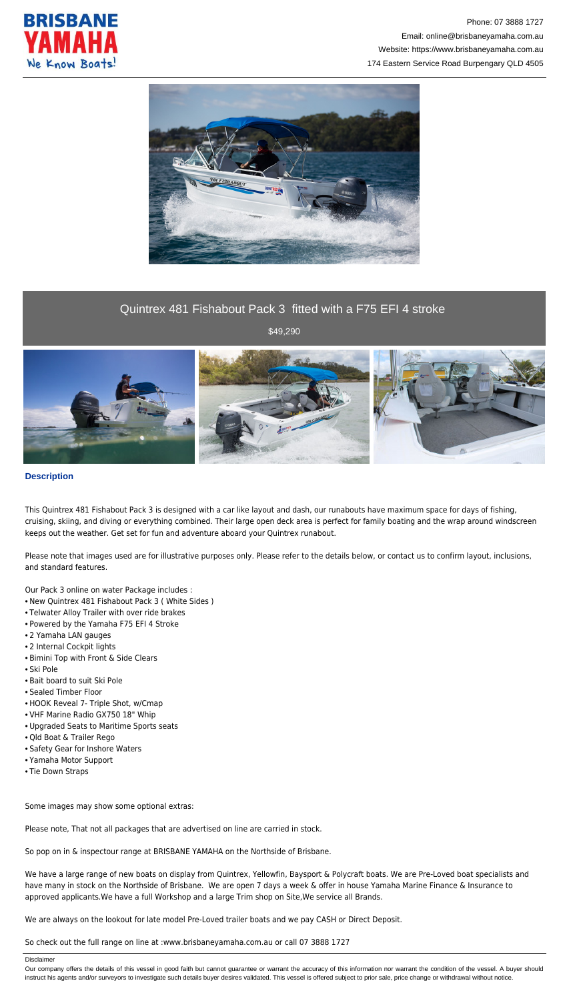



## Quintrex 481 Fishabout Pack 3 fitted with a F75 EFI 4 stroke

\$49,290



## **Description**

This Quintrex 481 Fishabout Pack 3 is designed with a car like layout and dash, our runabouts have maximum space for days of fishing, cruising, skiing, and diving or everything combined. Their large open deck area is perfect for family boating and the wrap around windscreen keeps out the weather. Get set for fun and adventure aboard your Quintrex runabout.

Please note that images used are for illustrative purposes only. Please refer to the details below, or contact us to confirm layout, inclusions, and standard features.

Our Pack 3 online on water Package includes :

- New Quintrex 481 Fishabout Pack 3 ( White Sides )
- Telwater Alloy Trailer with over ride brakes
- Powered by the Yamaha F75 EFI 4 Stroke
- 2 Yamaha LAN gauges
- 2 Internal Cockpit lights
- Bimini Top with Front & Side Clears
- Ski Pole
- Bait board to suit Ski Pole
- Sealed Timber Floor
- HOOK Reveal 7- Triple Shot, w/Cmap
- VHF Marine Radio GX750 18" Whip
- Upgraded Seats to Maritime Sports seats
- Qld Boat & Trailer Rego
- Safety Gear for Inshore Waters
- Yamaha Motor Support
- Tie Down Straps

Some images may show some optional extras:

Please note, That not all packages that are advertised on line are carried in stock.

So pop on in & inspectour range at BRISBANE YAMAHA on the Northside of Brisbane.

We have a large range of new boats on display from Quintrex, Yellowfin, Baysport & Polycraft boats. We are Pre-Loved boat specialists and have many in stock on the Northside of Brisbane. We are open 7 days a week & offer in house Yamaha Marine Finance & Insurance to approved applicants.We have a full Workshop and a large Trim shop on Site,We service all Brands.

We are always on the lookout for late model Pre-Loved trailer boats and we pay CASH or Direct Deposit.

So check out the full range on line at :www.brisbaneyamaha.com.au or call 07 3888 1727

Disclaimer

Our company offers the details of this vessel in good faith but cannot guarantee or warrant the accuracy of this information nor warrant the condition of the vessel. A buyer should instruct his agents and/or surveyors to investigate such details buyer desires validated. This vessel is offered subject to prior sale, price change or withdrawal without notice.